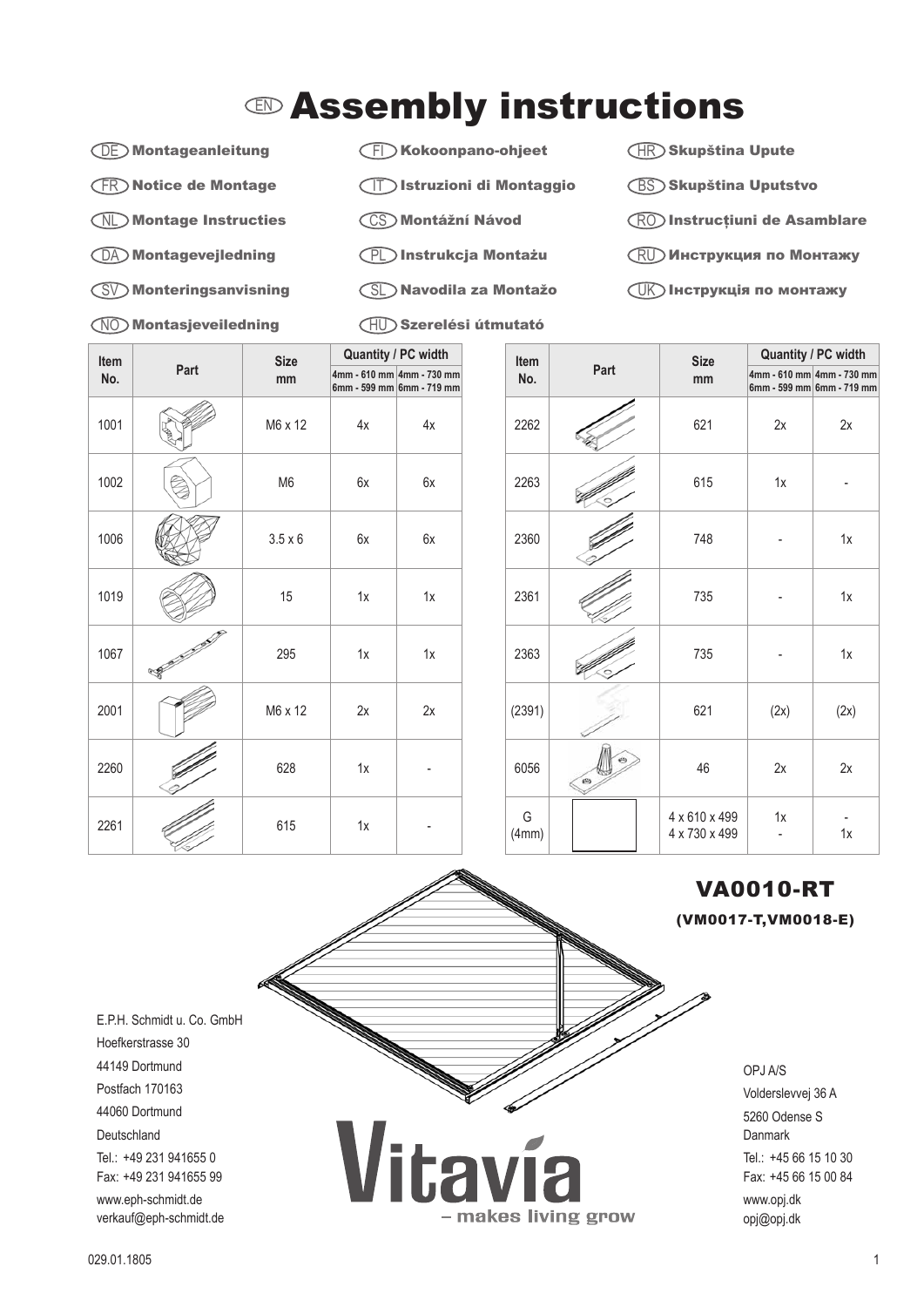## $\mathbb D$  Assembly instructions

DE Montageanleitung

FR Notice de Montage

- NL Montage Instructies
- DA Montagevejledning
- SV Monteringsanvisning
- NO Montasjeveiledning

FI Kokoonpano-ohjeet

- IT Istruzioni di Montaggio
- CS Montážní Návod
- PL Instrukcja Montażu
- SL Navodila za Montažo
- HU Szerelési útmutató

- makes living grow

 $\overline{\mathsf{HR}}$ )Skupština Upute

- BS Skupština Uputstvo
- RO Instrucţiuni de Asamblare
- $\mathop{\rm RU}\nolimits$  Инструкция по Монтажу
- $\overline{\mathbb{U}}$ К) Інструкція по монтажу

| Item<br>No. | Part | <b>Size</b><br>mm | Quantity / PC width |                                                        |  |
|-------------|------|-------------------|---------------------|--------------------------------------------------------|--|
|             |      |                   |                     | 4mm - 610 mm 4mm - 730 mm<br>6mm - 599 mm 6mm - 719 mm |  |
| 1001        |      | M6 x 12           | 4x                  | 4x                                                     |  |
| 1002        |      | M <sub>6</sub>    | 6x                  | 6x                                                     |  |
| 1006        |      | $3.5 \times 6$    | 6x                  | 6x                                                     |  |
| 1019        |      | 15                | 1x                  | 1x                                                     |  |
| 1067        | S    | 295               | 1x                  | 1x                                                     |  |
| 2001        |      | M6 x 12           | 2x                  | 2x                                                     |  |
| 2260        |      | 628               | 1x                  |                                                        |  |
| 2261        |      | 615               | 1x                  |                                                        |  |

| Item       | Part | <b>Size</b><br>mm              | <b>Quantity / PC width</b> |                                                        |
|------------|------|--------------------------------|----------------------------|--------------------------------------------------------|
| No.        |      |                                |                            | 4mm - 610 mm 4mm - 730 mm<br>6mm - 599 mm 6mm - 719 mm |
| 2262       |      | 621                            | 2x                         | 2x                                                     |
| 2263       |      | 615                            | 1x                         |                                                        |
| 2360       |      | 748                            |                            | 1x                                                     |
| 2361       |      | 735                            |                            | 1x                                                     |
| 2363       |      | 735                            |                            | 1x                                                     |
| (2391)     |      | 621                            | (2x)                       | (2x)                                                   |
| 6056       | ø    | 46                             | 2x                         | 2x                                                     |
| G<br>(4mm) |      | 4 x 610 x 499<br>4 x 730 x 499 | 1x                         | 1x                                                     |

## VA0010-RT

(VM0017-T,VM0018-E)

OPJ A/S Volderslevvej 36 A 5260 Odense S **Danmark** Tel.: +45 66 15 10 30 Fax: +45 66 15 00 84 www.opj.dk opj@opj.dk

E.P.H. Schmidt u. Co. GmbH Hoefkerstrasse 30 44149 Dortmund Postfach 170163 44060 Dortmund Deutschland Tel.: +49 231 941655 0 Fax: +49 231 941655 99 www.eph-schmidt.de verkauf@eph-schmidt.de